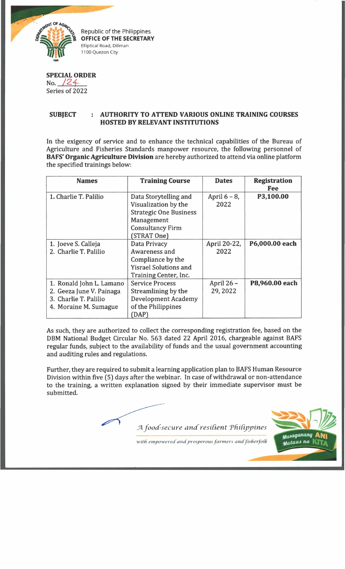

Republic of the Philippines **OFFICE OF THE SECRETARY** Elliptical Road, Diliman 1100 Quezon City

| <b>SPECIAL ORDER</b> |  |
|----------------------|--|
| No. $/24$            |  |
| Series of 2022       |  |

## **SUBJECT : AUTHORITY TO ATTEND VARIOUS ONLINE TRAINING COURSES HOSTED BY RELEVANT INSTITUTIONS**

In the exigency of service and to enhance the technical capabilities of the Bureau of Agriculture and Fisheries Standards manpower resource, the following personnel of **BAFS' Organic Agriculture Division** are hereby authorized to attend via online platform the specified trainings below:

| <b>Names</b>             | <b>Training Course</b>        | <b>Dates</b>    | <b>Registration</b><br>Fee |
|--------------------------|-------------------------------|-----------------|----------------------------|
| 1. Charlie T. Palilio    | Data Storytelling and         | April $6 - 8$ , | P3,100.00                  |
|                          | Visualization by the          | 2022            |                            |
|                          | <b>Strategic One Business</b> |                 |                            |
|                          | Management                    |                 |                            |
|                          | <b>Consultancy Firm</b>       |                 |                            |
|                          | (STRAT One)                   |                 |                            |
| 1. Joeve S. Calleja      | Data Privacy                  | April 20-22,    | P6,000.00 each             |
| 2. Charlie T. Palilio    | Awareness and                 | 2022            |                            |
|                          | Compliance by the             |                 |                            |
|                          | <b>Yisrael Solutions and</b>  |                 |                            |
|                          | Training Center, Inc.         |                 |                            |
| 1. Ronald John L. Lamano | <b>Service Process</b>        | April 26 -      | P8,960.00 each             |
| 2. Geeza June V. Painaga | Streamlining by the           | 29, 2022        |                            |
| 3. Charlie T. Palilio    | <b>Development Academy</b>    |                 |                            |
| 4. Moraine M. Sumague    | of the Philippines            |                 |                            |
|                          | (DAP)                         |                 |                            |

As such, they are authorized to collect the corresponding registration fee, based on the DBM National Budget Circular No. 563 dated 22 April 2016, chargeable against BAFS regular funds, subject to the availability of funds and the usual government accounting and auditing rules and regulations.

Further, they are required to submit a learning application plan to BAFS Human Resource Division within five (5) days after the webinar. In case of withdrawal or non-attendance to the training, a written explanation signed by their immediate supervisor must be submitted.

 $A$  food-secure and resilient Philippines



with empowered and prosperous farmers and fisherfolk